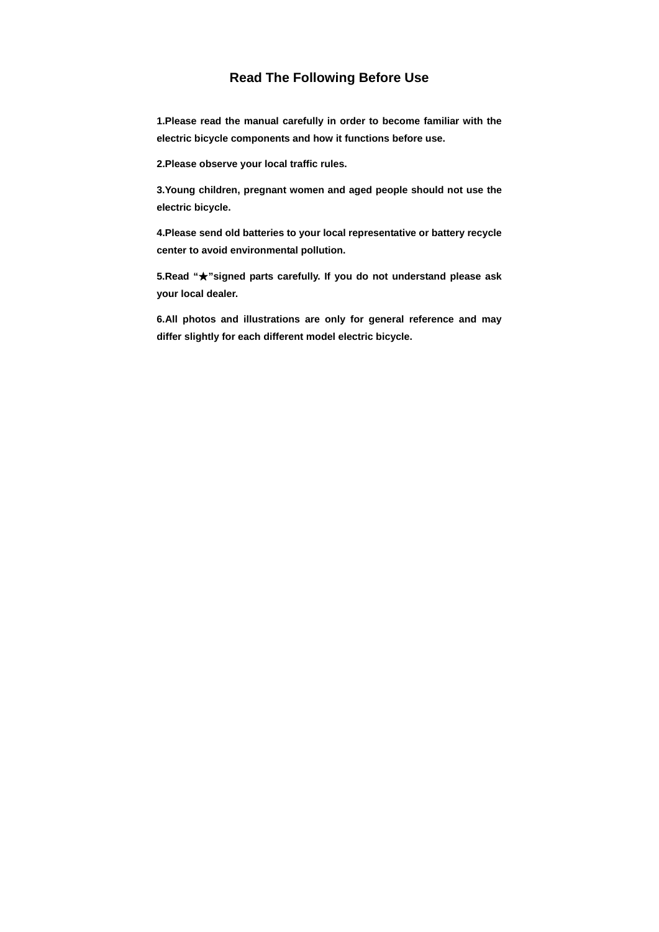# **Read The Following Before Use**

**1.Please read the manual carefully in order to become familiar with the electric bicycle components and how it functions before use.** 

**2.Please observe your local traffic rules.** 

**3.Young children, pregnant women and aged people should not use the electric bicycle.** 

**4.Please send old batteries to your local representative or battery recycle center to avoid environmental pollution.** 

**5.Read "**★**"signed parts carefully. If you do not understand please ask your local dealer.** 

**6.All photos and illustrations are only for general reference and may differ slightly for each different model electric bicycle.**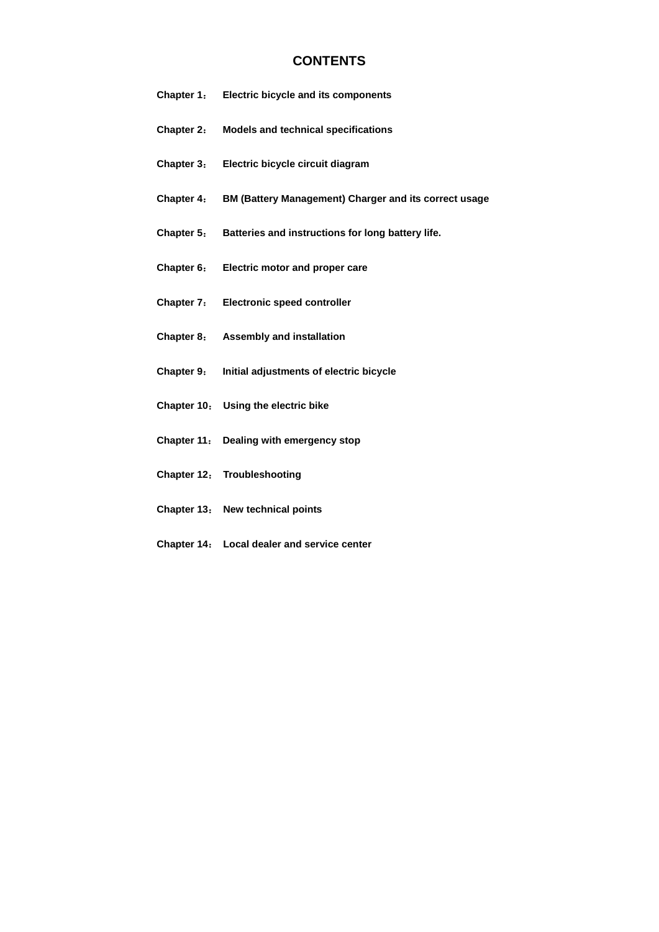# **CONTENTS**

- **Chapter 1**: **Electric bicycle and its components**
- **Chapter 2**: **Models and technical specifications**
- **Chapter 3**: **Electric bicycle circuit diagram**
- **Chapter 4**: **BM (Battery Management) Charger and its correct usage**
- **Chapter 5**: **Batteries and instructions for long battery life.**
- **Chapter 6**: **Electric motor and proper care**
- **Chapter 7**: **Electronic speed controller**
- **Chapter 8**: **Assembly and installation**
- **Chapter 9**: **Initial adjustments of electric bicycle**
- **Chapter 10**: **Using the electric bike**
- **Chapter 11**: **Dealing with emergency stop**
- **Chapter 12**: **Troubleshooting**
- **Chapter 13**: **New technical points**
- **Chapter 14**: **Local dealer and service center**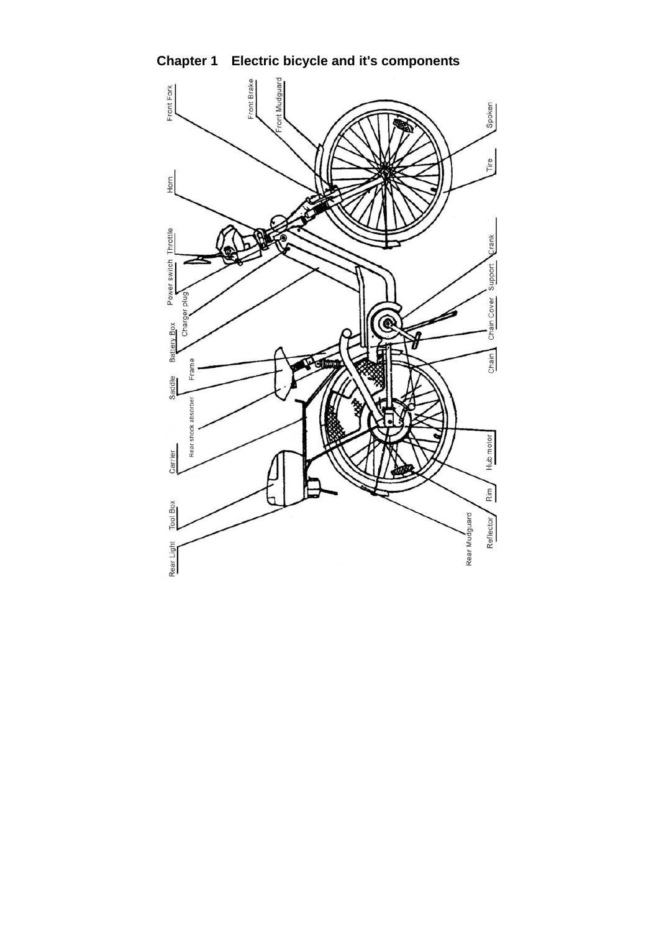

**Chapter 1 Electric bicycle and it's components**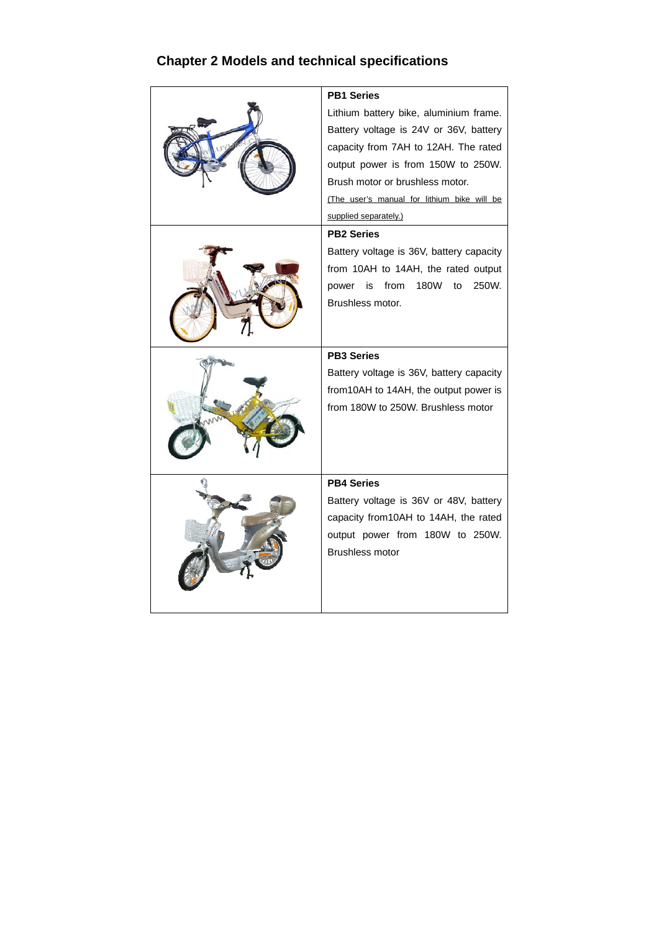# **Chapter 2 Models and technical specifications**

|  | <b>PB1 Series</b>                           |  |  |
|--|---------------------------------------------|--|--|
|  | Lithium battery bike, aluminium frame.      |  |  |
|  | Battery voltage is 24V or 36V, battery      |  |  |
|  | capacity from 7AH to 12AH. The rated        |  |  |
|  | output power is from 150W to 250W.          |  |  |
|  | Brush motor or brushless motor.             |  |  |
|  | (The user's manual for lithium bike will be |  |  |
|  | supplied separately.)                       |  |  |
|  | <b>PB2 Series</b>                           |  |  |
|  | Battery voltage is 36V, battery capacity    |  |  |
|  | from 10AH to 14AH, the rated output         |  |  |
|  | 180W<br>250W.<br>from<br>to<br>power<br>is  |  |  |
|  | Brushless motor.                            |  |  |
|  |                                             |  |  |
|  |                                             |  |  |
|  |                                             |  |  |
|  | <b>PB3 Series</b>                           |  |  |
|  | Battery voltage is 36V, battery capacity    |  |  |
|  | from 10AH to 14AH, the output power is      |  |  |
|  | from 180W to 250W. Brushless motor          |  |  |
|  |                                             |  |  |
|  |                                             |  |  |
|  |                                             |  |  |
|  | <b>PB4 Series</b>                           |  |  |
|  | Battery voltage is 36V or 48V, battery      |  |  |
|  | capacity from10AH to 14AH, the rated        |  |  |
|  | output power from 180W to 250W.             |  |  |
|  | Brushless motor                             |  |  |
|  |                                             |  |  |
|  |                                             |  |  |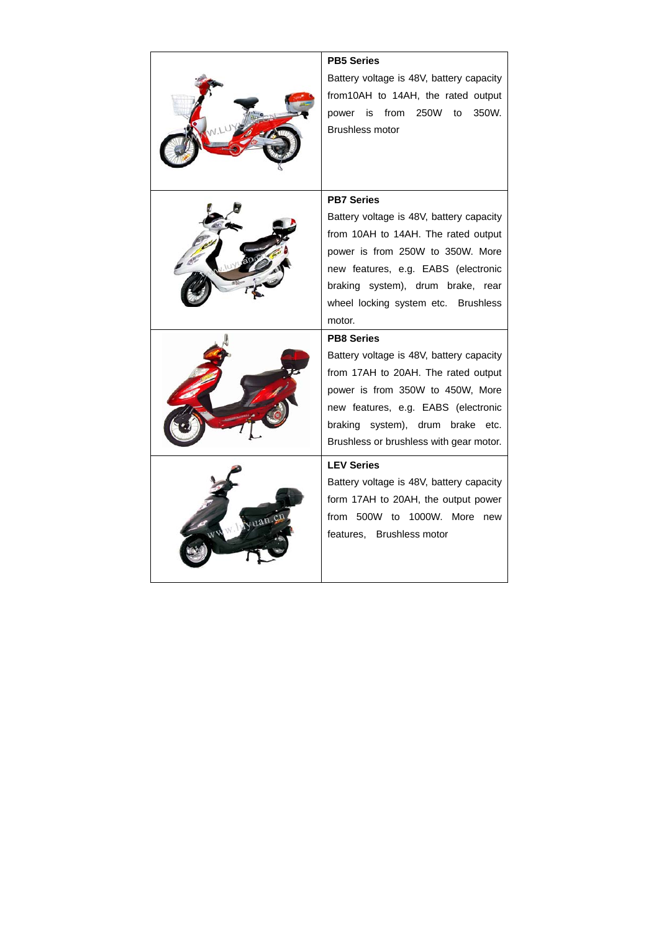|        | <b>PB5 Series</b>                        |  |  |
|--------|------------------------------------------|--|--|
|        | Battery voltage is 48V, battery capacity |  |  |
|        | from10AH to 14AH, the rated output       |  |  |
|        | from 250W<br>350W.<br>power is<br>to     |  |  |
|        | <b>Brushless motor</b>                   |  |  |
|        |                                          |  |  |
|        |                                          |  |  |
|        |                                          |  |  |
|        | <b>PB7 Series</b>                        |  |  |
|        | Battery voltage is 48V, battery capacity |  |  |
|        | from 10AH to 14AH. The rated output      |  |  |
|        | power is from 250W to 350W. More         |  |  |
|        | new features, e.g. EABS (electronic      |  |  |
|        | braking system), drum brake, rear        |  |  |
|        | wheel locking system etc. Brushless      |  |  |
|        | motor.                                   |  |  |
|        | <b>PB8 Series</b>                        |  |  |
|        | Battery voltage is 48V, battery capacity |  |  |
|        | from 17AH to 20AH. The rated output      |  |  |
|        | power is from 350W to 450W, More         |  |  |
|        | new features, e.g. EABS (electronic      |  |  |
|        | braking system), drum brake<br>etc.      |  |  |
|        | Brushless or brushless with gear motor.  |  |  |
|        | <b>LEV Series</b>                        |  |  |
| uan.c. | Battery voltage is 48V, battery capacity |  |  |
|        |                                          |  |  |
|        | form 17AH to 20AH, the output power      |  |  |
|        | from 500W to 1000W. More new             |  |  |
|        | features. Brushless motor                |  |  |
|        |                                          |  |  |
|        |                                          |  |  |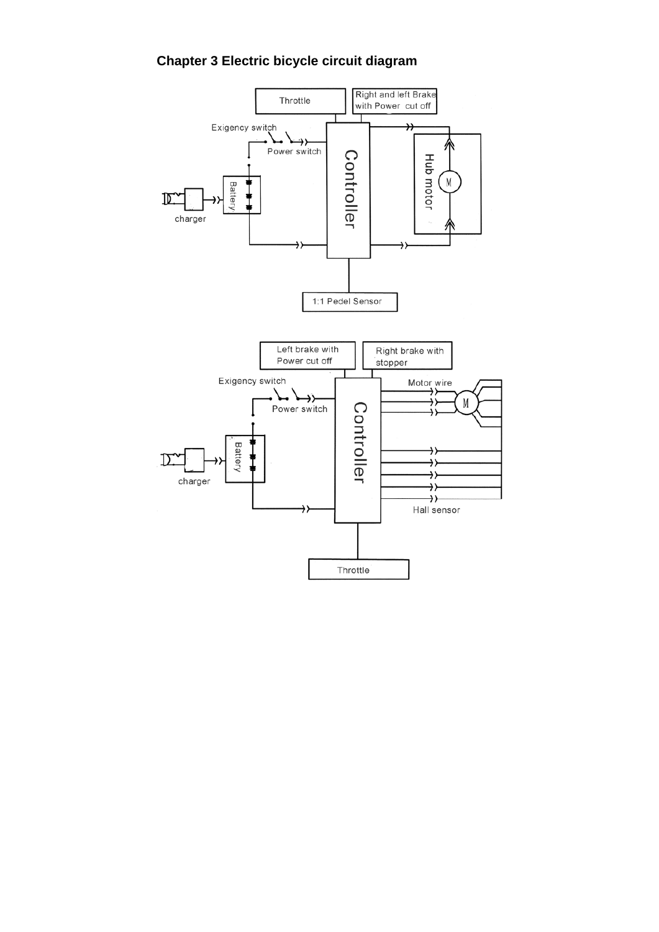# **Chapter 3 Electric bicycle circuit diagram**

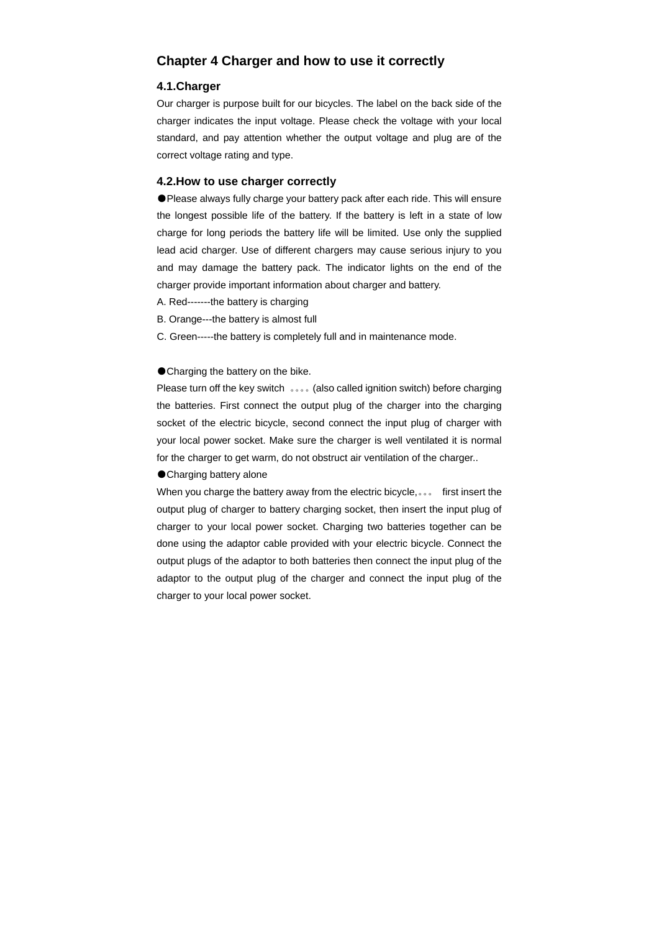# **Chapter 4 Charger and how to use it correctly**

### **4.1.Charger**

Our charger is purpose built for our bicycles. The label on the back side of the charger indicates the input voltage. Please check the voltage with your local standard, and pay attention whether the output voltage and plug are of the correct voltage rating and type.

#### **4.2.How to use charger correctly**

●Please always fully charge your battery pack after each ride. This will ensure the longest possible life of the battery. If the battery is left in a state of low charge for long periods the battery life will be limited. Use only the supplied lead acid charger. Use of different chargers may cause serious injury to you and may damage the battery pack. The indicator lights on the end of the charger provide important information about charger and battery.

- A. Red-------the battery is charging
- B. Orange---the battery is almost full
- C. Green-----the battery is completely full and in maintenance mode.

#### ● Charging the battery on the bike.

Please turn off the key switch 。。。。(also called ignition switch) before charging the batteries. First connect the output plug of the charger into the charging socket of the electric bicycle, second connect the input plug of charger with your local power socket. Make sure the charger is well ventilated it is normal for the charger to get warm, do not obstruct air ventilation of the charger..

● Charging battery alone

When you charge the battery away from the electric bicycle,。。。 first insert the output plug of charger to battery charging socket, then insert the input plug of charger to your local power socket. Charging two batteries together can be done using the adaptor cable provided with your electric bicycle. Connect the output plugs of the adaptor to both batteries then connect the input plug of the adaptor to the output plug of the charger and connect the input plug of the charger to your local power socket.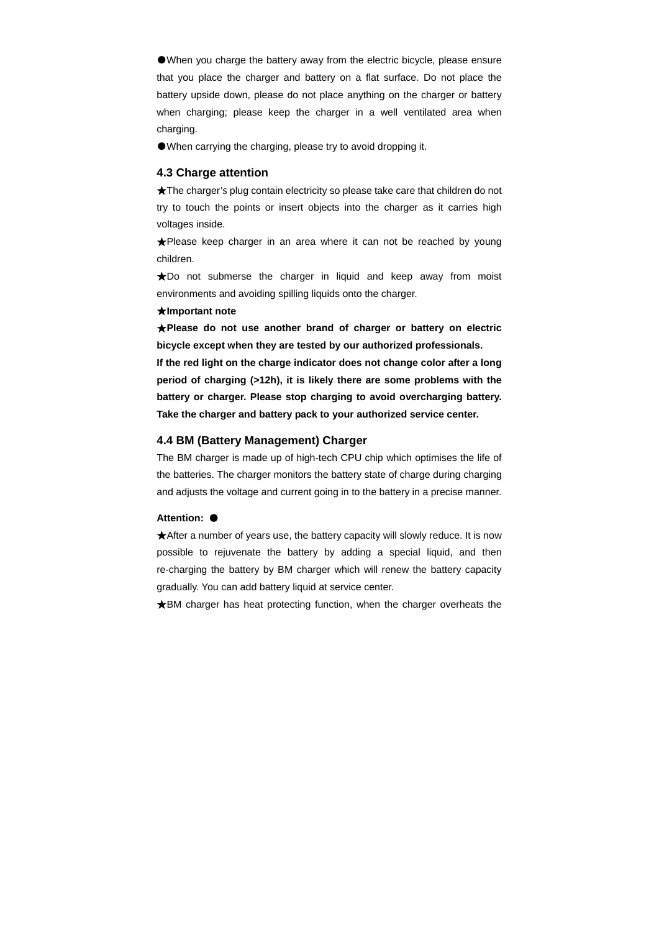●When you charge the battery away from the electric bicycle, please ensure that you place the charger and battery on a flat surface. Do not place the battery upside down, please do not place anything on the charger or battery when charging; please keep the charger in a well ventilated area when charging.

●When carrying the charging, please try to avoid dropping it.

#### **4.3 Charge attention**

★The charger's plug contain electricity so please take care that children do not try to touch the points or insert objects into the charger as it carries high voltages inside.

★Please keep charger in an area where it can not be reached by young children.

★Do not submerse the charger in liquid and keep away from moist environments and avoiding spilling liquids onto the charger.

### ★**Important note**

★**Please do not use another brand of charger or battery on electric bicycle except when they are tested by our authorized professionals.** 

**If the red light on the charge indicator does not change color after a long period of charging (>12h), it is likely there are some problems with the battery or charger. Please stop charging to avoid overcharging battery. Take the charger and battery pack to your authorized service center.** 

### **4.4 BM (Battery Management) Charger**

The BM charger is made up of high-tech CPU chip which optimises the life of the batteries. The charger monitors the battery state of charge during charging and adjusts the voltage and current going in to the battery in a precise manner.

#### **Attention:** ●

★After a number of years use, the battery capacity will slowly reduce. It is now possible to rejuvenate the battery by adding a special liquid, and then re-charging the battery by BM charger which will renew the battery capacity gradually. You can add battery liquid at service center.

★BM charger has heat protecting function, when the charger overheats the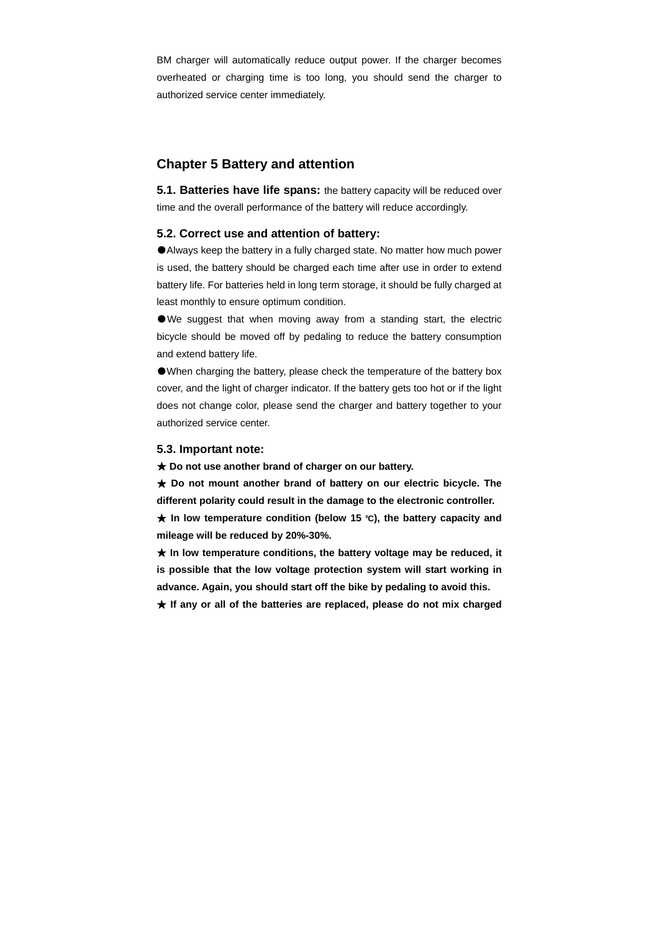BM charger will automatically reduce output power. If the charger becomes overheated or charging time is too long, you should send the charger to authorized service center immediately.

## **Chapter 5 Battery and attention**

**5.1. Batteries have life spans:** the battery capacity will be reduced over time and the overall performance of the battery will reduce accordingly.

### **5.2. Correct use and attention of battery:**

●Always keep the battery in a fully charged state. No matter how much power is used, the battery should be charged each time after use in order to extend battery life. For batteries held in long term storage, it should be fully charged at least monthly to ensure optimum condition.

●We suggest that when moving away from a standing start, the electric bicycle should be moved off by pedaling to reduce the battery consumption and extend battery life.

●When charging the battery, please check the temperature of the battery box cover, and the light of charger indicator. If the battery gets too hot or if the light does not change color, please send the charger and battery together to your authorized service center.

#### **5.3. Important note:**

★ **Do not use another brand of charger on our battery.** 

★ **Do not mount another brand of battery on our electric bicycle. The different polarity could result in the damage to the electronic controller. ★** In low temperature condition (below 15 °C), the battery capacity and **mileage will be reduced by 20%-30%.** 

★ **In low temperature conditions, the battery voltage may be reduced, it is possible that the low voltage protection system will start working in advance. Again, you should start off the bike by pedaling to avoid this.** 

★ **If any or all of the batteries are replaced, please do not mix charged**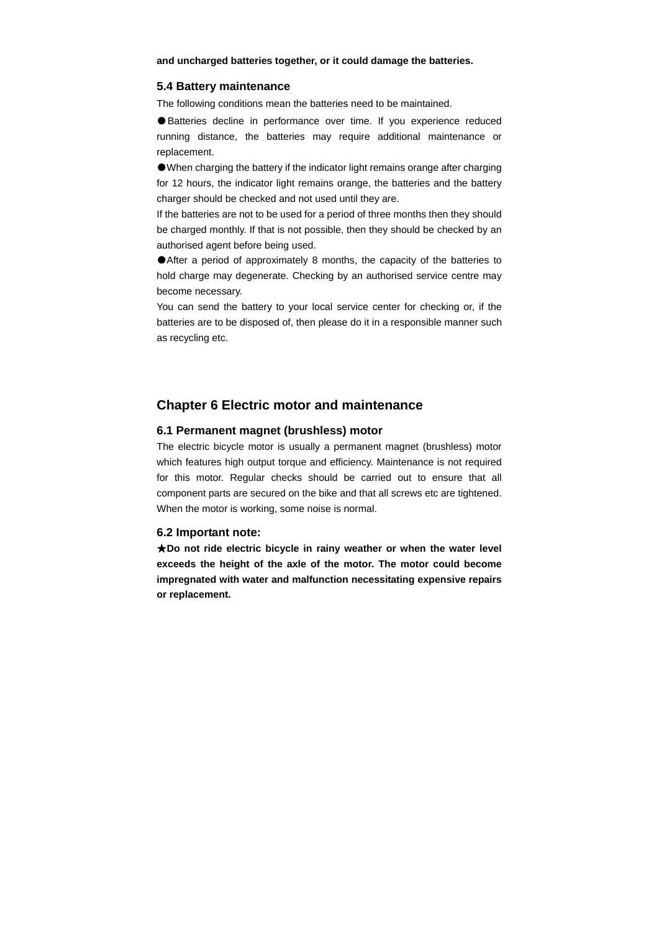**and uncharged batteries together, or it could damage the batteries.**

#### **5.4 Battery maintenance**

The following conditions mean the batteries need to be maintained.

● Batteries decline in performance over time. If you experience reduced running distance, the batteries may require additional maintenance or replacement.

●When charging the battery if the indicator light remains orange after charging for 12 hours, the indicator light remains orange, the batteries and the battery charger should be checked and not used until they are.

If the batteries are not to be used for a period of three months then they should be charged monthly. If that is not possible, then they should be checked by an authorised agent before being used.

●After a period of approximately 8 months, the capacity of the batteries to hold charge may degenerate. Checking by an authorised service centre may become necessary.

You can send the battery to your local service center for checking or, if the batteries are to be disposed of, then please do it in a responsible manner such as recycling etc.

# **Chapter 6 Electric motor and maintenance**

### **6.1 Permanent magnet (brushless) motor**

The electric bicycle motor is usually a permanent magnet (brushless) motor which features high output torque and efficiency. Maintenance is not required for this motor. Regular checks should be carried out to ensure that all component parts are secured on the bike and that all screws etc are tightened. When the motor is working, some noise is normal.

### **6.2 Important note:**

★**Do not ride electric bicycle in rainy weather or when the water level exceeds the height of the axle of the motor. The motor could become impregnated with water and malfunction necessitating expensive repairs or replacement.**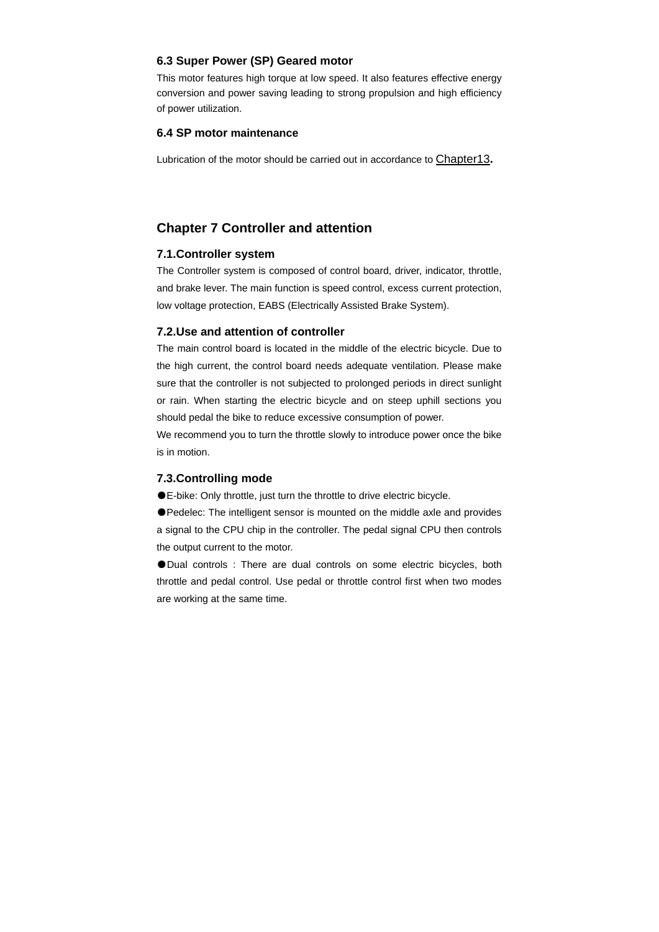### **6.3 Super Power (SP) Geared motor**

This motor features high torque at low speed. It also features effective energy conversion and power saving leading to strong propulsion and high efficiency of power utilization.

### **6.4 SP motor maintenance**

Lubrication of the motor should be carried out in accordance to Chapter13**.**

# **Chapter 7 Controller and attention**

### **7.1.Controller system**

The Controller system is composed of control board, driver, indicator, throttle, and brake lever. The main function is speed control, excess current protection, low voltage protection, EABS (Electrically Assisted Brake System).

### **7.2.Use and attention of controller**

The main control board is located in the middle of the electric bicycle. Due to the high current, the control board needs adequate ventilation. Please make sure that the controller is not subjected to prolonged periods in direct sunlight or rain. When starting the electric bicycle and on steep uphill sections you should pedal the bike to reduce excessive consumption of power.

We recommend you to turn the throttle slowly to introduce power once the bike is in motion.

### **7.3.Controlling mode**

●E-bike: Only throttle, just turn the throttle to drive electric bicycle.

●Pedelec: The intelligent sensor is mounted on the middle axle and provides a signal to the CPU chip in the controller. The pedal signal CPU then controls the output current to the motor.

● Dual controls : There are dual controls on some electric bicycles, both throttle and pedal control. Use pedal or throttle control first when two modes are working at the same time.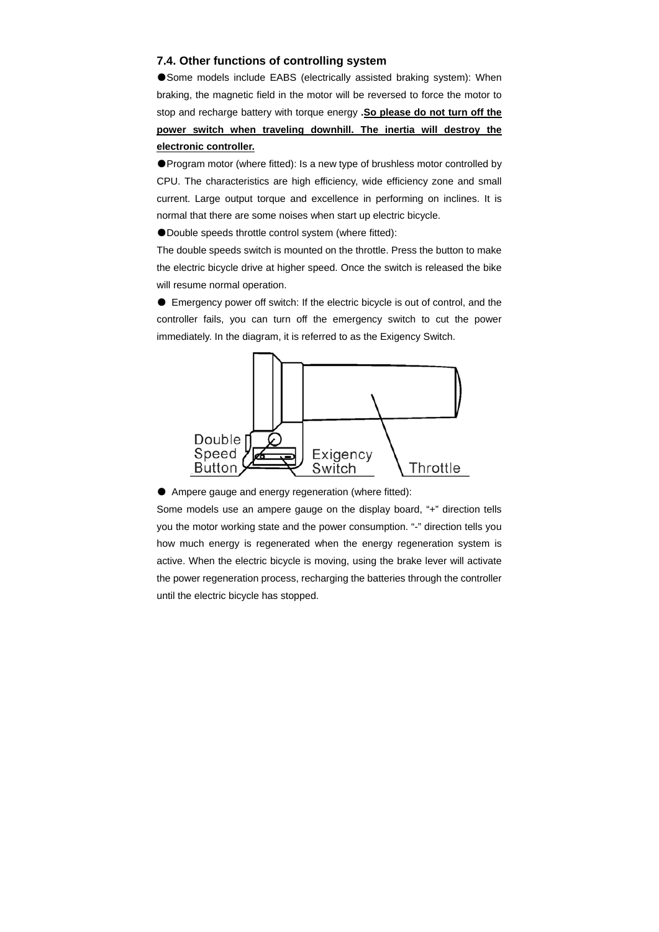### **7.4. Other functions of controlling system**

●Some models include EABS (electrically assisted braking system): When braking, the magnetic field in the motor will be reversed to force the motor to stop and recharge battery with torque energy **.So please do not turn off the power switch when traveling downhill. The inertia will destroy the electronic controller.**

●Program motor (where fitted): Is a new type of brushless motor controlled by CPU. The characteristics are high efficiency, wide efficiency zone and small current. Large output torque and excellence in performing on inclines. It is normal that there are some noises when start up electric bicycle.

●Double speeds throttle control system (where fitted):

The double speeds switch is mounted on the throttle. Press the button to make the electric bicycle drive at higher speed. Once the switch is released the bike will resume normal operation.

● Emergency power off switch: If the electric bicycle is out of control, and the controller fails, you can turn off the emergency switch to cut the power immediately. In the diagram, it is referred to as the Exigency Switch.



● Ampere gauge and energy regeneration (where fitted):

Some models use an ampere gauge on the display board, "+" direction tells you the motor working state and the power consumption. "-" direction tells you how much energy is regenerated when the energy regeneration system is active. When the electric bicycle is moving, using the brake lever will activate the power regeneration process, recharging the batteries through the controller until the electric bicycle has stopped.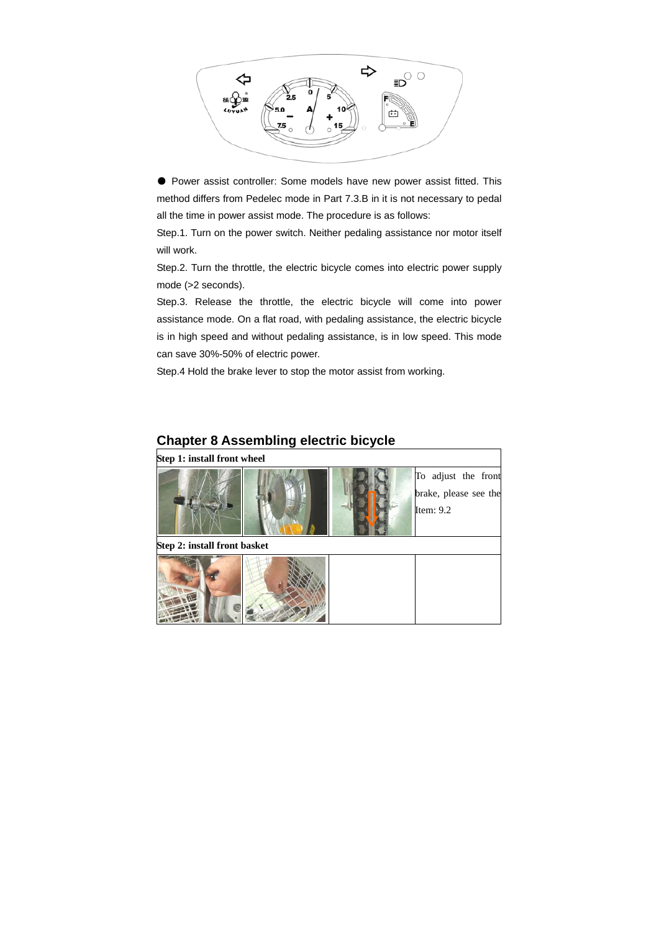

● Power assist controller: Some models have new power assist fitted. This method differs from Pedelec mode in Part 7.3.B in it is not necessary to pedal all the time in power assist mode. The procedure is as follows:

Step.1. Turn on the power switch. Neither pedaling assistance nor motor itself will work.

Step.2. Turn the throttle, the electric bicycle comes into electric power supply mode (>2 seconds).

Step.3. Release the throttle, the electric bicycle will come into power assistance mode. On a flat road, with pedaling assistance, the electric bicycle is in high speed and without pedaling assistance, is in low speed. This mode can save 30%-50% of electric power.

Step.4 Hold the brake lever to stop the motor assist from working.

| Step 1: install front wheel  |  |                                                             |
|------------------------------|--|-------------------------------------------------------------|
|                              |  | To adjust the front<br>brake, please see the<br>Item: $9.2$ |
| Step 2: install front basket |  |                                                             |
|                              |  |                                                             |

# **Chapter 8 Assembling electric bicycle**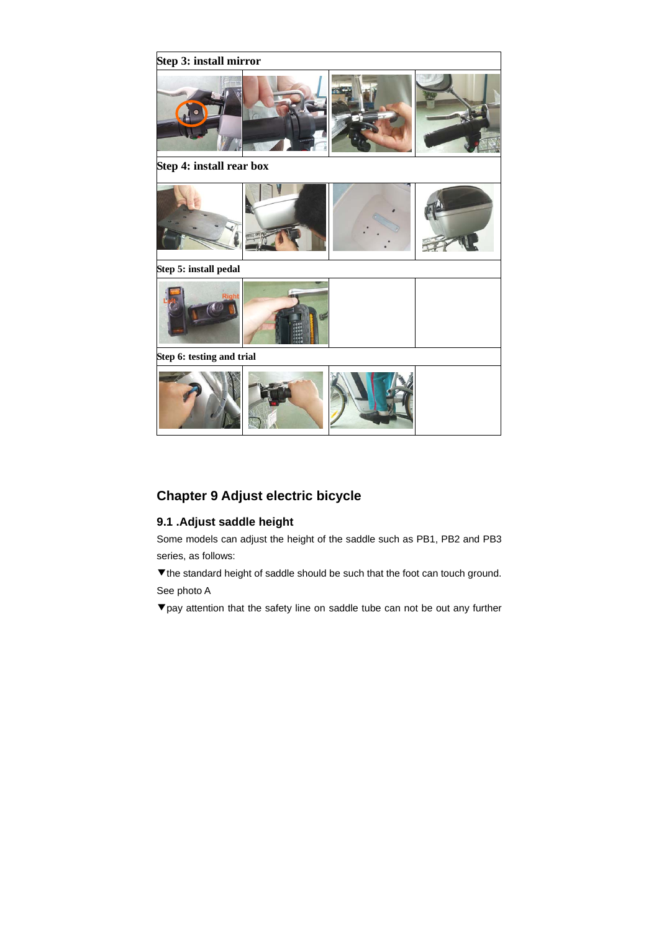

# **Chapter 9 Adjust electric bicycle**

# **9.1 .Adjust saddle height**

Some models can adjust the height of the saddle such as PB1, PB2 and PB3 series, as follows:

▼the standard height of saddle should be such that the foot can touch ground. See photo A

▼pay attention that the safety line on saddle tube can not be out any further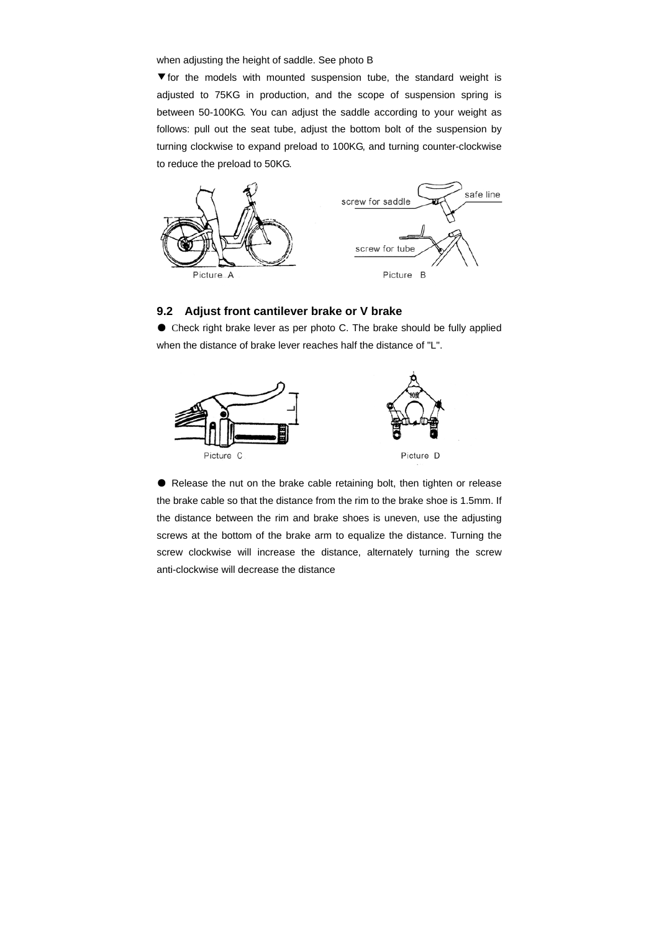when adjusting the height of saddle. See photo B

▼for the models with mounted suspension tube, the standard weight is adjusted to 75KG in production, and the scope of suspension spring is between 50-100KG. You can adjust the saddle according to your weight as follows: pull out the seat tube, adjust the bottom bolt of the suspension by turning clockwise to expand preload to 100KG, and turning counter-clockwise to reduce the preload to 50KG.



### **9.2 Adjust front cantilever brake or V brake**

● Check right brake lever as per photo C. The brake should be fully applied when the distance of brake lever reaches half the distance of "L".



● Release the nut on the brake cable retaining bolt, then tighten or release the brake cable so that the distance from the rim to the brake shoe is 1.5mm. If the distance between the rim and brake shoes is uneven, use the adjusting screws at the bottom of the brake arm to equalize the distance. Turning the screw clockwise will increase the distance, alternately turning the screw anti-clockwise will decrease the distance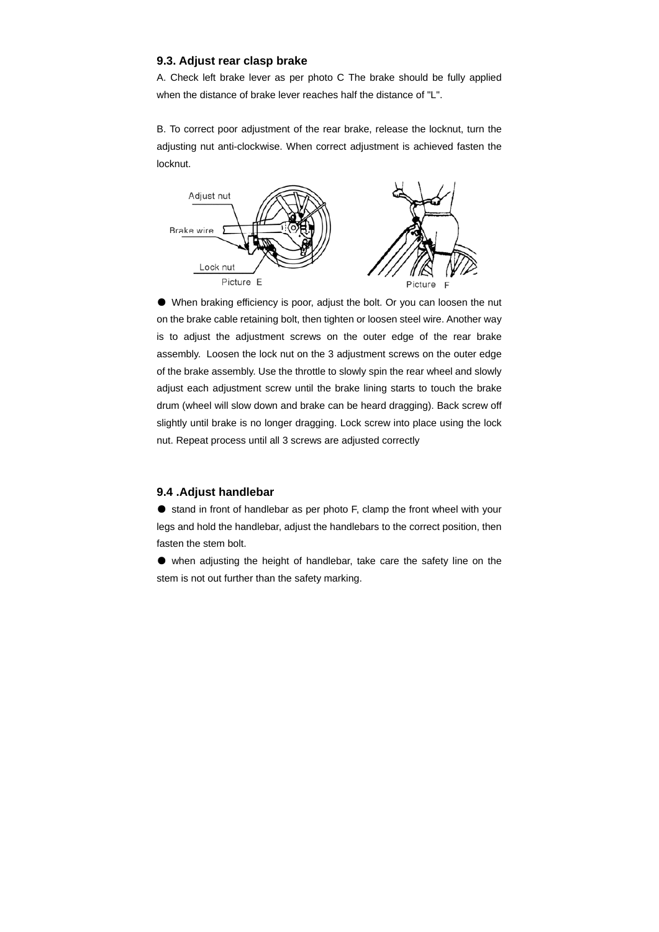### **9.3. Adjust rear clasp brake**

A. Check left brake lever as per photo C The brake should be fully applied when the distance of brake lever reaches half the distance of "L".

B. To correct poor adjustment of the rear brake, release the locknut, turn the adjusting nut anti-clockwise. When correct adjustment is achieved fasten the locknut.



● When braking efficiency is poor, adjust the bolt. Or you can loosen the nut on the brake cable retaining bolt, then tighten or loosen steel wire. Another way is to adjust the adjustment screws on the outer edge of the rear brake assembly. Loosen the lock nut on the 3 adjustment screws on the outer edge of the brake assembly. Use the throttle to slowly spin the rear wheel and slowly adjust each adjustment screw until the brake lining starts to touch the brake drum (wheel will slow down and brake can be heard dragging). Back screw off slightly until brake is no longer dragging. Lock screw into place using the lock nut. Repeat process until all 3 screws are adjusted correctly

### **9.4 .Adjust handlebar**

● stand in front of handlebar as per photo F, clamp the front wheel with your legs and hold the handlebar, adjust the handlebars to the correct position, then fasten the stem bolt.

● when adjusting the height of handlebar, take care the safety line on the stem is not out further than the safety marking.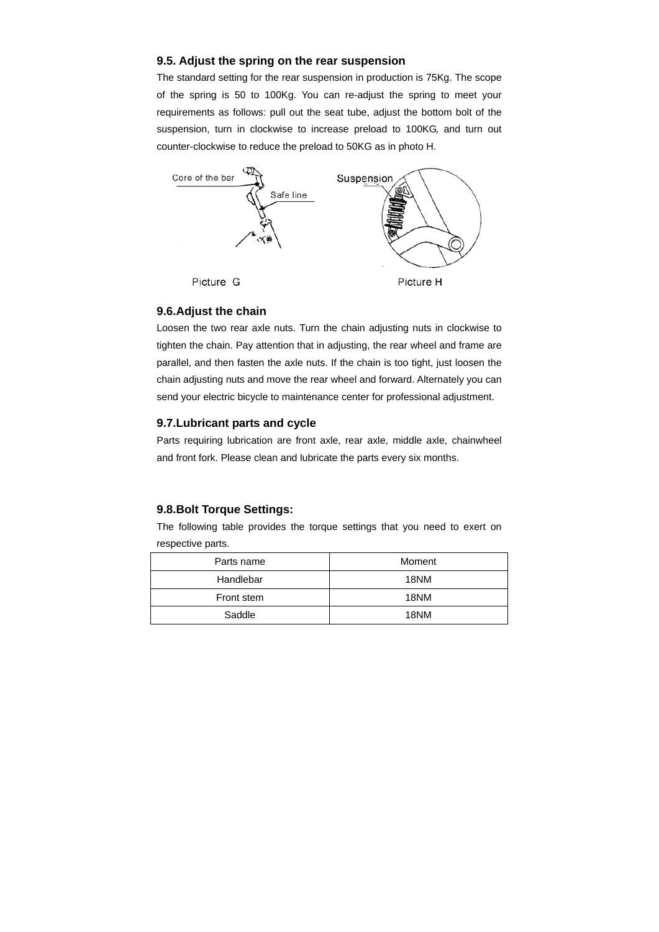### **9.5. Adjust the spring on the rear suspension**

The standard setting for the rear suspension in production is 75Kg. The scope of the spring is 50 to 100Kg. You can re-adjust the spring to meet your requirements as follows: pull out the seat tube, adjust the bottom bolt of the suspension, turn in clockwise to increase preload to 100KG, and turn out counter-clockwise to reduce the preload to 50KG as in photo H.



### **9.6.Adjust the chain**

Loosen the two rear axle nuts. Turn the chain adjusting nuts in clockwise to tighten the chain. Pay attention that in adjusting, the rear wheel and frame are parallel, and then fasten the axle nuts. If the chain is too tight, just loosen the chain adjusting nuts and move the rear wheel and forward. Alternately you can send your electric bicycle to maintenance center for professional adjustment.

### **9.7.Lubricant parts and cycle**

Parts requiring lubrication are front axle, rear axle, middle axle, chainwheel and front fork. Please clean and lubricate the parts every six months.

### **9.8.Bolt Torque Settings:**

The following table provides the torque settings that you need to exert on respective parts.

| Parts name | Moment |  |  |
|------------|--------|--|--|
| Handlebar  | 18NM   |  |  |
| Front stem | 18NM   |  |  |
| Saddle     | 18NM   |  |  |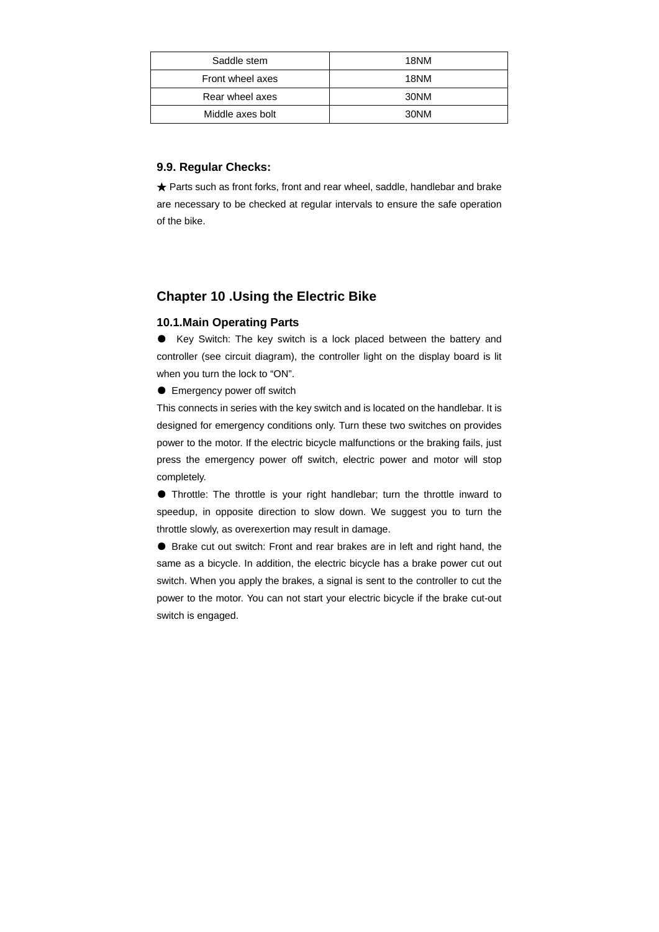| Saddle stem      | 18NM |
|------------------|------|
| Front wheel axes | 18NM |
| Rear wheel axes  | 30NM |
| Middle axes bolt | 30NM |

## **9.9. Regular Checks:**

★ Parts such as front forks, front and rear wheel, saddle, handlebar and brake are necessary to be checked at regular intervals to ensure the safe operation of the bike.

# **Chapter 10 .Using the Electric Bike**

### **10.1.Main Operating Parts**

● Key Switch: The key switch is a lock placed between the battery and controller (see circuit diagram), the controller light on the display board is lit when you turn the lock to "ON".

● Emergency power off switch

This connects in series with the key switch and is located on the handlebar. It is designed for emergency conditions only. Turn these two switches on provides power to the motor. If the electric bicycle malfunctions or the braking fails, just press the emergency power off switch, electric power and motor will stop completely.

● Throttle: The throttle is your right handlebar; turn the throttle inward to speedup, in opposite direction to slow down. We suggest you to turn the throttle slowly, as overexertion may result in damage.

● Brake cut out switch: Front and rear brakes are in left and right hand, the same as a bicycle. In addition, the electric bicycle has a brake power cut out switch. When you apply the brakes, a signal is sent to the controller to cut the power to the motor. You can not start your electric bicycle if the brake cut-out switch is engaged.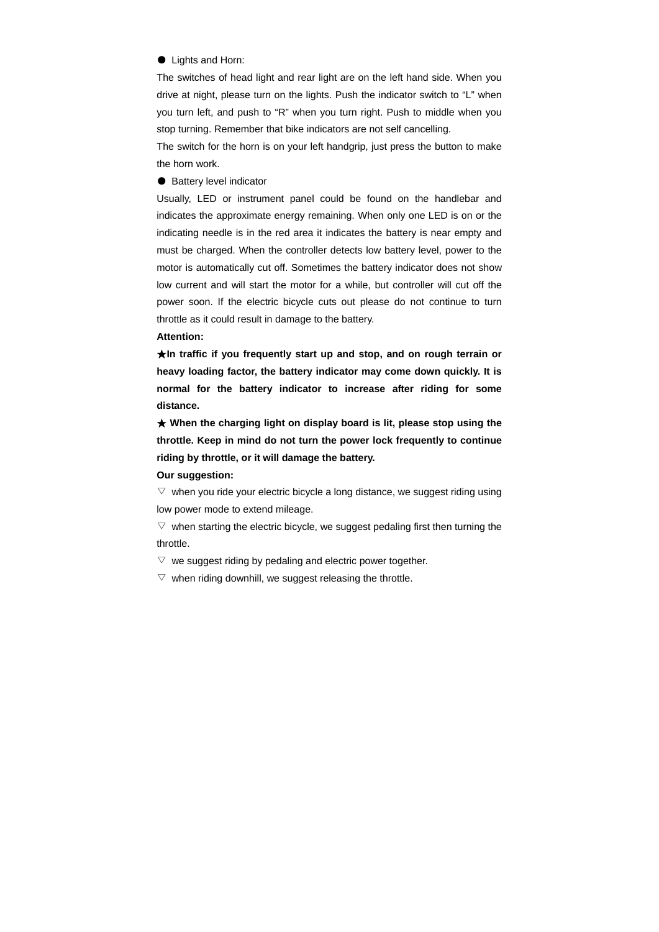### ● Lights and Horn:

The switches of head light and rear light are on the left hand side. When you drive at night, please turn on the lights. Push the indicator switch to "L" when you turn left, and push to "R" when you turn right. Push to middle when you stop turning. Remember that bike indicators are not self cancelling.

The switch for the horn is on your left handgrip, just press the button to make the horn work.

● Battery level indicator

Usually, LED or instrument panel could be found on the handlebar and indicates the approximate energy remaining. When only one LED is on or the indicating needle is in the red area it indicates the battery is near empty and must be charged. When the controller detects low battery level, power to the motor is automatically cut off. Sometimes the battery indicator does not show low current and will start the motor for a while, but controller will cut off the power soon. If the electric bicycle cuts out please do not continue to turn throttle as it could result in damage to the battery.

### **Attention:**

★**In traffic if you frequently start up and stop, and on rough terrain or heavy loading factor, the battery indicator may come down quickly. It is normal for the battery indicator to increase after riding for some distance.** 

★ **When the charging light on display board is lit, please stop using the throttle. Keep in mind do not turn the power lock frequently to continue riding by throttle, or it will damage the battery.** 

#### **Our suggestion:**

 $\triangledown$  when you ride your electric bicycle a long distance, we suggest riding using low power mode to extend mileage.

 $\triangledown$  when starting the electric bicycle, we suggest pedaling first then turning the throttle.

 $\triangledown$  we suggest riding by pedaling and electric power together.

 $\triangledown$  when riding downhill, we suggest releasing the throttle.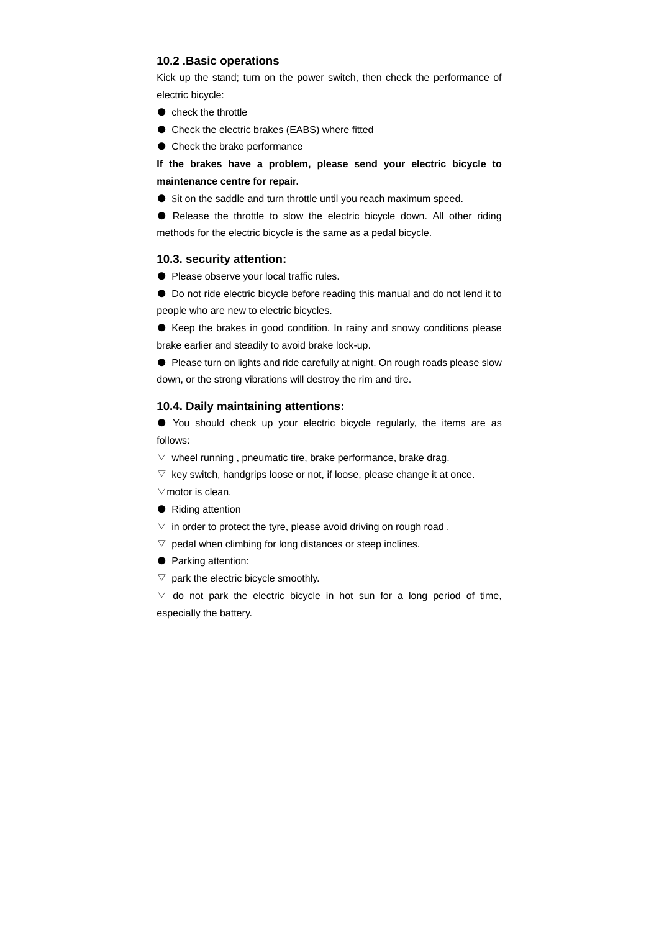### **10.2 .Basic operations**

Kick up the stand; turn on the power switch, then check the performance of electric bicycle:

- check the throttle
- Check the electric brakes (EABS) where fitted
- Check the brake performance

**If the brakes have a problem, please send your electric bicycle to maintenance centre for repair.**

● Sit on the saddle and turn throttle until you reach maximum speed.

● Release the throttle to slow the electric bicycle down. All other riding methods for the electric bicycle is the same as a pedal bicycle.

### **10.3. security attention:**

● Please observe your local traffic rules.

● Do not ride electric bicycle before reading this manual and do not lend it to people who are new to electric bicycles.

● Keep the brakes in good condition. In rainy and snowy conditions please brake earlier and steadily to avoid brake lock-up.

● Please turn on lights and ride carefully at night. On rough roads please slow down, or the strong vibrations will destroy the rim and tire.

### **10.4. Daily maintaining attentions:**

● You should check up your electric bicycle regularly, the items are as follows:

 $\triangledown$  wheel running, pneumatic tire, brake performance, brake drag.

 $\triangledown$  key switch, handgrips loose or not, if loose, please change it at once.

 $\triangledown$ motor is clean.

- Riding attention
- $\triangledown$  in order to protect the tyre, please avoid driving on rough road.
- $\triangledown$  pedal when climbing for long distances or steep inclines.
- Parking attention:
- $\triangledown$  park the electric bicycle smoothly.

 $\triangledown$  do not park the electric bicycle in hot sun for a long period of time, especially the battery.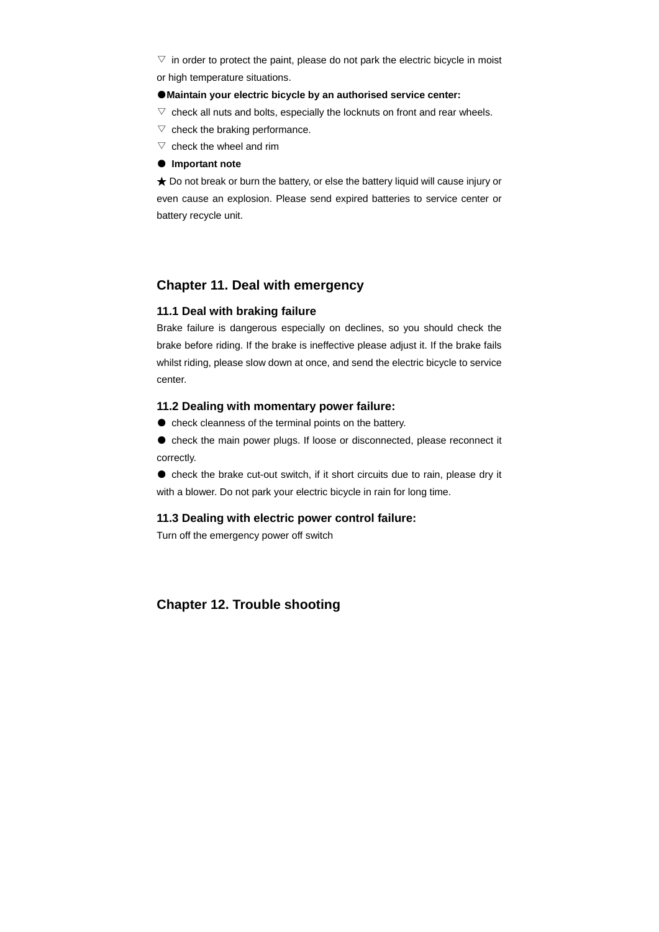$\triangledown$  in order to protect the paint, please do not park the electric bicycle in moist or high temperature situations.

#### ●**Maintain your electric bicycle by an authorised service center:**

- $\triangledown$  check all nuts and bolts, especially the locknuts on front and rear wheels.
- $\triangledown$  check the braking performance.
- $\nabla$  check the wheel and rim
- **Important note**

★ Do not break or burn the battery, or else the battery liquid will cause injury or even cause an explosion. Please send expired batteries to service center or battery recycle unit.

# **Chapter 11. Deal with emergency**

## **11.1 Deal with braking failure**

Brake failure is dangerous especially on declines, so you should check the brake before riding. If the brake is ineffective please adjust it. If the brake fails whilst riding, please slow down at once, and send the electric bicycle to service center.

### **11.2 Dealing with momentary power failure:**

● check cleanness of the terminal points on the battery.

● check the main power plugs. If loose or disconnected, please reconnect it correctly.

● check the brake cut-out switch, if it short circuits due to rain, please dry it with a blower. Do not park your electric bicycle in rain for long time.

### **11.3 Dealing with electric power control failure:**

Turn off the emergency power off switch

# **Chapter 12. Trouble shooting**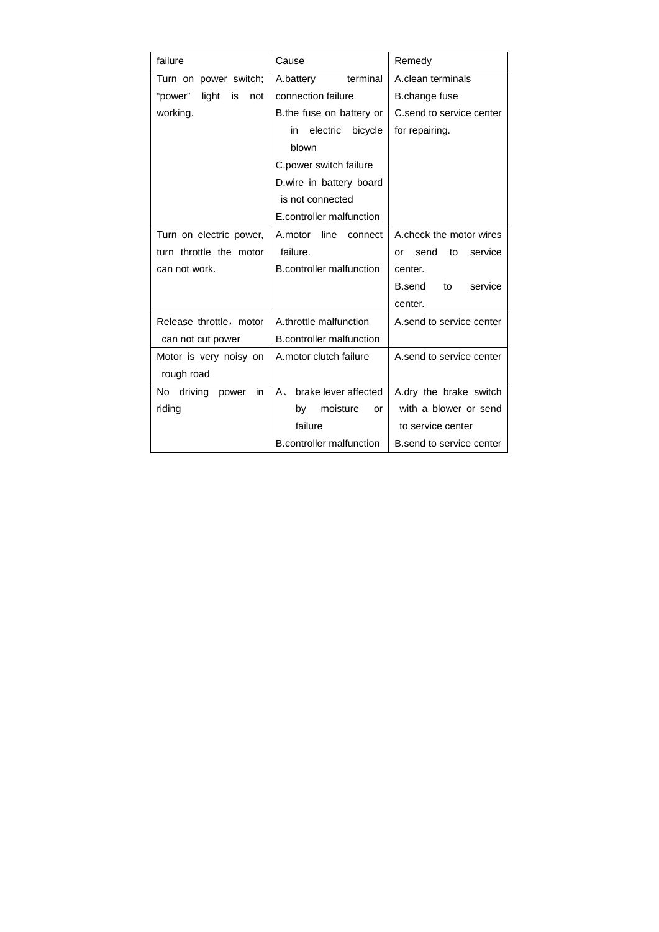| failure                        | Cause                                         | Remedy                      |  |
|--------------------------------|-----------------------------------------------|-----------------------------|--|
| Turn on power switch;          | A.battery<br>terminal                         | A.clean terminals           |  |
| "power"<br>light<br>is<br>not  | connection failure                            | B.change fuse               |  |
| working.                       | B.the fuse on battery or                      | C.send to service center    |  |
|                                | electric<br>bicycle<br>in                     | for repairing.              |  |
|                                | blown                                         |                             |  |
|                                | C.power switch failure                        |                             |  |
|                                | D.wire in battery board                       |                             |  |
|                                | is not connected                              |                             |  |
|                                | E.controller malfunction                      |                             |  |
| Turn on electric power,        | A.motor<br>line<br>connect                    | A check the motor wires     |  |
| turn throttle the motor        | failure.                                      | service<br>send<br>to<br>or |  |
| can not work.                  | <b>B.controller malfunction</b>               | center.                     |  |
|                                |                                               | B.send<br>service<br>to     |  |
|                                |                                               | center.                     |  |
| Release throttle, motor        | A.throttle malfunction                        | A send to service center    |  |
| can not cut power              | <b>B.controller malfunction</b>               |                             |  |
| Motor is very noisy on         | A.motor clutch failure                        | A send to service center    |  |
| rough road                     |                                               |                             |  |
| No.<br>driving<br>power<br>in. | brake lever affected<br>A.                    | A.dry the brake switch      |  |
| riding                         | moisture<br>with a blower or send<br>by<br>or |                             |  |
|                                | failure                                       | to service center           |  |
|                                | <b>B.controller malfunction</b>               | B.send to service center    |  |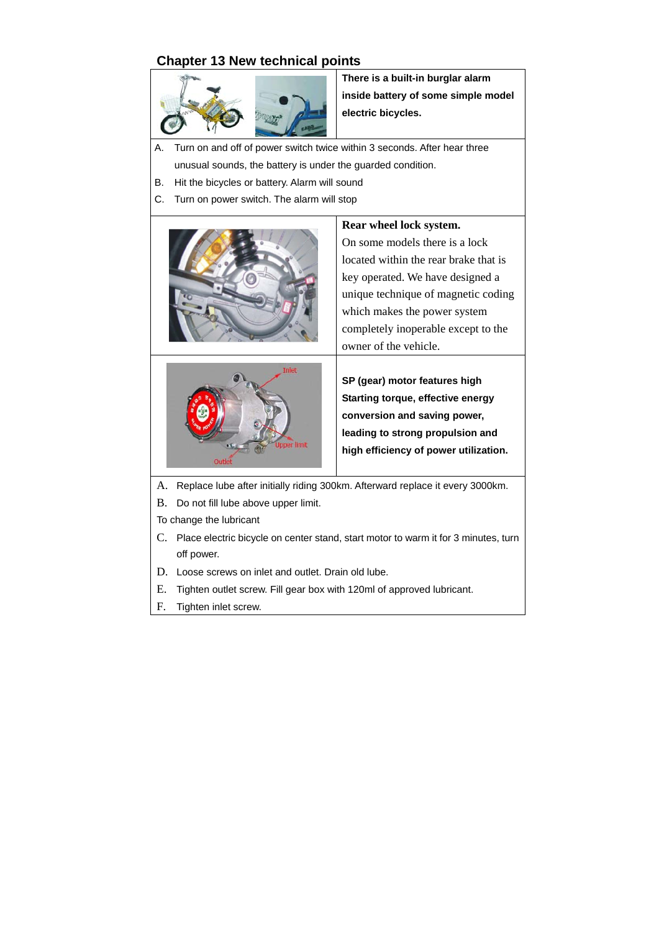# **Chapter 13 New technical points**



**There is a built-in burglar alarm inside battery of some simple model electric bicycles.** 

- A. Turn on and off of power switch twice within 3 seconds. After hear three unusual sounds, the battery is under the guarded condition.
- B. Hit the bicycles or battery. Alarm will sound
- C. Turn on power switch. The alarm will stop



- A. Replace lube after initially riding 300km. Afterward replace it every 3000km.
- B. Do not fill lube above upper limit.
- To change the lubricant
- C. Place electric bicycle on center stand, start motor to warm it for 3 minutes, turn off power.
- D. Loose screws on inlet and outlet. Drain old lube.
- E. Tighten outlet screw. Fill gear box with 120ml of approved lubricant.
- F. Tighten inlet screw.